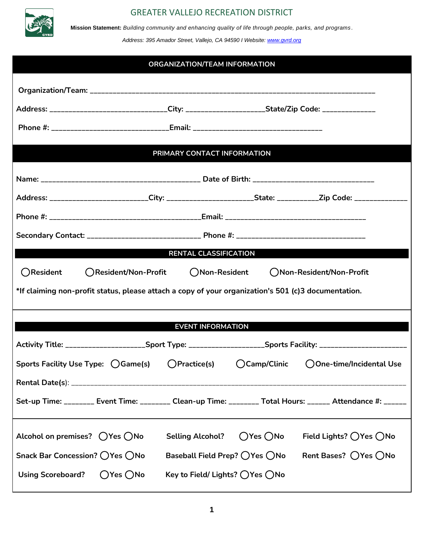

**Mission Statement:** *Building community and enhancing quality of life through people, parks, and programs .*

*Address: 395 Amador Street, Vallejo, CA 94590 I Website: [www.gvrd.org](http://www.gvrd.org/)*

#### **ORGANIZATION/TEAM INFORMATION**

| Address: _______________________________City: ________________________State/Zip Code: ______________           |                                  |                              |                           |
|----------------------------------------------------------------------------------------------------------------|----------------------------------|------------------------------|---------------------------|
| Phone #: ________________________________Email: ________________________________                               |                                  |                              |                           |
|                                                                                                                | PRIMARY CONTACT INFORMATION      |                              |                           |
|                                                                                                                |                                  |                              |                           |
| Address: _________________________City: _________________________State: ___________Zip Code: ________________  |                                  |                              |                           |
|                                                                                                                |                                  |                              |                           |
|                                                                                                                |                                  |                              |                           |
|                                                                                                                | <b>RENTAL CLASSIFICATION</b>     |                              |                           |
| ○Resident<br>○Resident/Non-Profit                                                                              | ◯Non-Resident                    |                              | ()Non-Resident/Non-Profit |
| *If claiming non-profit status, please attach a copy of your organization's 501 (c)3 documentation.            |                                  |                              |                           |
|                                                                                                                | <b>EVENT INFORMATION</b>         |                              |                           |
| Activity Title: ______________________Sport Type: ______________________Sports Facility: _____________________ |                                  |                              |                           |
| Sports Facility Use Type: ( ) Game(s)                                                                          | ( ) Practice(s)                  | ○Camp/Clinic                 | ○One-time/Incidental Use  |
|                                                                                                                |                                  |                              |                           |
| Set-up Time: ________ Event Time: ________ Clean-up Time: ________ Total Hours: ______ Attendance #: _____     |                                  |                              |                           |
| Alcohol on premises? $\bigcirc$ Yes $\bigcirc$ No                                                              | <b>Selling Alcohol?</b>          | $\bigcirc$ Yes $\bigcirc$ No | Field Lights? ◯ Yes ◯ No  |
| Snack Bar Concession? ◯ Yes ◯ No                                                                               | Baseball Field Prep? ◯ Yes ◯ No  |                              | Rent Bases? ◯ Yes ◯ No    |
| <b>Using Scoreboard?</b><br>$O$ Yes $O$ No                                                                     | Key to Field/ Lights? ◯ Yes ◯ No |                              |                           |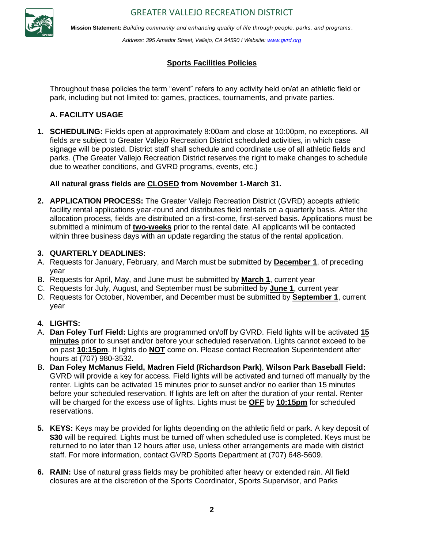

**Mission Statement:** *Building community and enhancing quality of life through people, parks, and programs .*

*Address: 395 Amador Street, Vallejo, CA 94590 I Website: [www.gvrd.org](http://www.gvrd.org/)*

#### **Sports Facilities Policies**

Throughout these policies the term "event" refers to any activity held on/at an athletic field or park, including but not limited to: games, practices, tournaments, and private parties.

#### **A. FACILITY USAGE**

**1. SCHEDULING:** Fields open at approximately 8:00am and close at 10:00pm, no exceptions. All fields are subject to Greater Vallejo Recreation District scheduled activities, in which case signage will be posted. District staff shall schedule and coordinate use of all athletic fields and parks. (The Greater Vallejo Recreation District reserves the right to make changes to schedule due to weather conditions, and GVRD programs, events, etc.)

#### **All natural grass fields are CLOSED from November 1-March 31.**

**2. APPLICATION PROCESS:** The Greater Vallejo Recreation District (GVRD) accepts athletic facility rental applications year-round and distributes field rentals on a quarterly basis. After the allocation process, fields are distributed on a first-come, first-served basis. Applications must be submitted a minimum of **two-weeks** prior to the rental date. All applicants will be contacted within three business days with an update regarding the status of the rental application.

#### **3. QUARTERLY DEADLINES:**

- A. Requests for January, February, and March must be submitted by **December 1**, of preceding year
- B. Requests for April, May, and June must be submitted by **March 1**, current year
- C. Requests for July, August, and September must be submitted by **June 1**, current year
- D. Requests for October, November, and December must be submitted by **September 1**, current year

#### **4. LIGHTS:**

- A. **Dan Foley Turf Field:** Lights are programmed on/off by GVRD. Field lights will be activated **15 minutes** prior to sunset and/or before your scheduled reservation. Lights cannot exceed to be on past **10:15pm**. If lights do **NOT** come on. Please contact Recreation Superintendent after hours at (707) 980-3532.
- B. **Dan Foley McManus Field, Madren Field (Richardson Park)**, **Wilson Park Baseball Field:**  GVRD will provide a key for access. Field lights will be activated and turned off manually by the renter. Lights can be activated 15 minutes prior to sunset and/or no earlier than 15 minutes before your scheduled reservation. If lights are left on after the duration of your rental. Renter will be charged for the excess use of lights. Lights must be **OFF** by **10:15pm** for scheduled reservations.
- **5. KEYS:** Keys may be provided for lights depending on the athletic field or park. A key deposit of **\$30** will be required. Lights must be turned off when scheduled use is completed. Keys must be returned to no later than 12 hours after use, unless other arrangements are made with district staff. For more information, contact GVRD Sports Department at (707) 648-5609.
- **6. RAIN:** Use of natural grass fields may be prohibited after heavy or extended rain. All field closures are at the discretion of the Sports Coordinator, Sports Supervisor, and Parks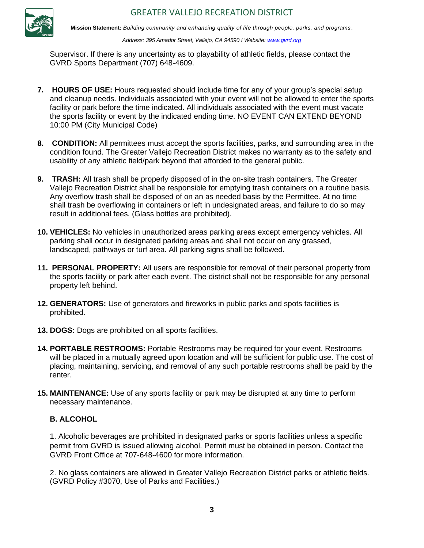

*Address: 395 Amador Street, Vallejo, CA 94590 I Website: [www.gvrd.org](http://www.gvrd.org/)*

Supervisor. If there is any uncertainty as to playability of athletic fields, please contact the GVRD Sports Department (707) 648-4609.

- 7. HOURS OF USE: Hours requested should include time for any of your group's special setup and cleanup needs. Individuals associated with your event will not be allowed to enter the sports facility or park before the time indicated. All individuals associated with the event must vacate the sports facility or event by the indicated ending time. NO EVENT CAN EXTEND BEYOND 10:00 PM (City Municipal Code)
- **8. CONDITION:** All permittees must accept the sports facilities, parks, and surrounding area in the condition found. The Greater Vallejo Recreation District makes no warranty as to the safety and usability of any athletic field/park beyond that afforded to the general public.
- **9. TRASH:** All trash shall be properly disposed of in the on-site trash containers. The Greater Vallejo Recreation District shall be responsible for emptying trash containers on a routine basis. Any overflow trash shall be disposed of on an as needed basis by the Permittee. At no time shall trash be overflowing in containers or left in undesignated areas, and failure to do so may result in additional fees. (Glass bottles are prohibited).
- **10. VEHICLES:** No vehicles in unauthorized areas parking areas except emergency vehicles. All parking shall occur in designated parking areas and shall not occur on any grassed, landscaped, pathways or turf area. All parking signs shall be followed.
- **11. PERSONAL PROPERTY:** All users are responsible for removal of their personal property from the sports facility or park after each event. The district shall not be responsible for any personal property left behind.
- **12. GENERATORS:** Use of generators and fireworks in public parks and spots facilities is prohibited.
- **13. DOGS:** Dogs are prohibited on all sports facilities.
- **14. PORTABLE RESTROOMS:** Portable Restrooms may be required for your event. Restrooms will be placed in a mutually agreed upon location and will be sufficient for public use. The cost of placing, maintaining, servicing, and removal of any such portable restrooms shall be paid by the renter.
- **15. MAINTENANCE:** Use of any sports facility or park may be disrupted at any time to perform necessary maintenance.

#### **B. ALCOHOL**

1. Alcoholic beverages are prohibited in designated parks or sports facilities unless a specific permit from GVRD is issued allowing alcohol. Permit must be obtained in person. Contact the GVRD Front Office at 707-648-4600 for more information.

2. No glass containers are allowed in Greater Vallejo Recreation District parks or athletic fields. (GVRD Policy #3070, Use of Parks and Facilities.)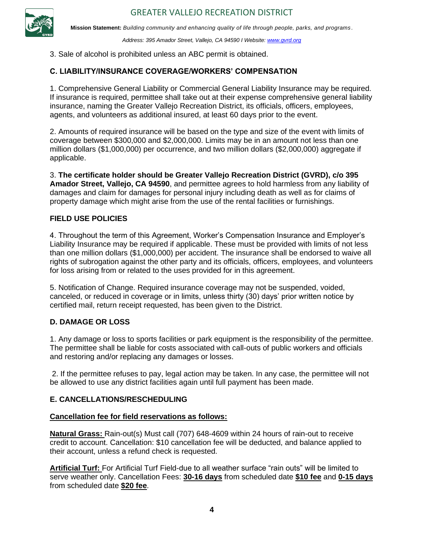

*Address: 395 Amador Street, Vallejo, CA 94590 I Website: [www.gvrd.org](http://www.gvrd.org/)*

3. Sale of alcohol is prohibited unless an ABC permit is obtained.

#### **C. LIABILITY/INSURANCE COVERAGE/WORKERS' COMPENSATION**

1. Comprehensive General Liability or Commercial General Liability Insurance may be required. If insurance is required, permittee shall take out at their expense comprehensive general liability insurance, naming the Greater Vallejo Recreation District, its officials, officers, employees, agents, and volunteers as additional insured, at least 60 days prior to the event.

2. Amounts of required insurance will be based on the type and size of the event with limits of coverage between \$300,000 and \$2,000,000. Limits may be in an amount not less than one million dollars (\$1,000,000) per occurrence, and two million dollars (\$2,000,000) aggregate if applicable.

3. **The certificate holder should be Greater Vallejo Recreation District (GVRD), c/o 395 Amador Street, Vallejo, CA 94590**, and permittee agrees to hold harmless from any liability of damages and claim for damages for personal injury including death as well as for claims of property damage which might arise from the use of the rental facilities or furnishings.

#### **FIELD USE POLICIES**

4. Throughout the term of this Agreement, Worker's Compensation Insurance and Employer's Liability Insurance may be required if applicable. These must be provided with limits of not less than one million dollars (\$1,000,000) per accident. The insurance shall be endorsed to waive all rights of subrogation against the other party and its officials, officers, employees, and volunteers for loss arising from or related to the uses provided for in this agreement.

5. Notification of Change. Required insurance coverage may not be suspended, voided, canceled, or reduced in coverage or in limits, unless thirty (30) days' prior written notice by certified mail, return receipt requested, has been given to the District.

#### **D. DAMAGE OR LOSS**

1. Any damage or loss to sports facilities or park equipment is the responsibility of the permittee. The permittee shall be liable for costs associated with call-outs of public workers and officials and restoring and/or replacing any damages or losses.

2. If the permittee refuses to pay, legal action may be taken. In any case, the permittee will not be allowed to use any district facilities again until full payment has been made.

#### **E. CANCELLATIONS/RESCHEDULING**

#### **Cancellation fee for field reservations as follows:**

**Natural Grass:** Rain-out(s) Must call (707) 648-4609 within 24 hours of rain-out to receive credit to account. Cancellation: \$10 cancellation fee will be deducted, and balance applied to their account, unless a refund check is requested.

**Artificial Turf:** For Artificial Turf Field-due to all weather surface "rain outs" will be limited to serve weather only. Cancellation Fees: **30-16 days** from scheduled date **\$10 fee** and **0-15 days** from scheduled date **\$20 fee**.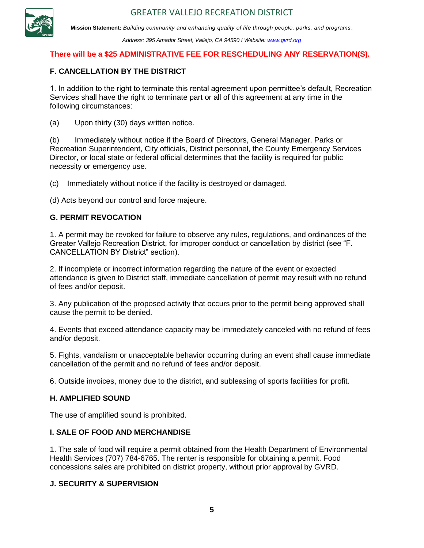

*Address: 395 Amador Street, Vallejo, CA 94590 I Website: [www.gvrd.org](http://www.gvrd.org/)*

#### **There will be a \$25 ADMINISTRATIVE FEE FOR RESCHEDULING ANY RESERVATION(S).**

#### **F. CANCELLATION BY THE DISTRICT**

1. In addition to the right to terminate this rental agreement upon permittee's default, Recreation Services shall have the right to terminate part or all of this agreement at any time in the following circumstances:

(a) Upon thirty (30) days written notice.

(b) Immediately without notice if the Board of Directors, General Manager, Parks or Recreation Superintendent, City officials, District personnel, the County Emergency Services Director, or local state or federal official determines that the facility is required for public necessity or emergency use.

(c) Immediately without notice if the facility is destroyed or damaged.

(d) Acts beyond our control and force majeure.

#### **G. PERMIT REVOCATION**

1. A permit may be revoked for failure to observe any rules, regulations, and ordinances of the Greater Vallejo Recreation District, for improper conduct or cancellation by district (see "F. CANCELLATION BY District" section).

2. If incomplete or incorrect information regarding the nature of the event or expected attendance is given to District staff, immediate cancellation of permit may result with no refund of fees and/or deposit.

3. Any publication of the proposed activity that occurs prior to the permit being approved shall cause the permit to be denied.

4. Events that exceed attendance capacity may be immediately canceled with no refund of fees and/or deposit.

5. Fights, vandalism or unacceptable behavior occurring during an event shall cause immediate cancellation of the permit and no refund of fees and/or deposit.

6. Outside invoices, money due to the district, and subleasing of sports facilities for profit.

#### **H. AMPLIFIED SOUND**

The use of amplified sound is prohibited.

#### **I. SALE OF FOOD AND MERCHANDISE**

1. The sale of food will require a permit obtained from the Health Department of Environmental Health Services (707) 784-6765. The renter is responsible for obtaining a permit. Food concessions sales are prohibited on district property, without prior approval by GVRD.

#### **J. SECURITY & SUPERVISION**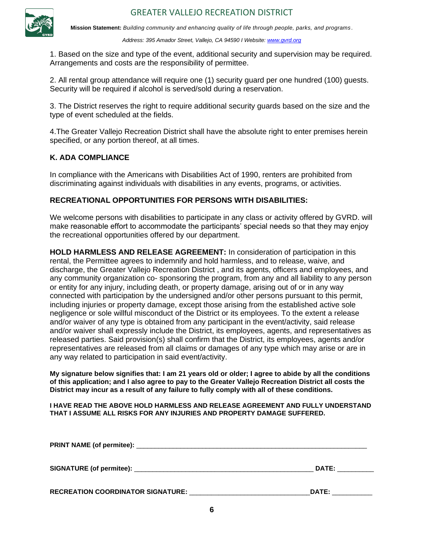

*Address: 395 Amador Street, Vallejo, CA 94590 I Website: [www.gvrd.org](http://www.gvrd.org/)*

1. Based on the size and type of the event, additional security and supervision may be required. Arrangements and costs are the responsibility of permittee.

Security will be required if alcohol is served/sold during a reservation. 2. All rental group attendance will require one (1) security guard per one hundred (100) guests.

3. The District reserves the right to require additional security guards based on the size and the type of event scheduled at the fields.

4.The Greater Vallejo Recreation District shall have the absolute right to enter premises herein specified, or any portion thereof, at all times.

#### **K. ADA COMPLIANCE**

In compliance with the Americans with Disabilities Act of 1990, renters are prohibited from discriminating against individuals with disabilities in any events, programs, or activities.

#### **RECREATIONAL OPPORTUNITIES FOR PERSONS WITH DISABILITIES:**

We welcome persons with disabilities to participate in any class or activity offered by GVRD. will make reasonable effort to accommodate the participants' special needs so that they may enjoy the recreational opportunities offered by our department.

**HOLD HARMLESS AND RELEASE AGREEMENT:** In consideration of participation in this rental, the Permittee agrees to indemnify and hold harmless, and to release, waive, and discharge, the Greater Vallejo Recreation District , and its agents, officers and employees, and any community organization co- sponsoring the program, from any and all liability to any person or entity for any injury, including death, or property damage, arising out of or in any way connected with participation by the undersigned and/or other persons pursuant to this permit, including injuries or property damage, except those arising from the established active sole negligence or sole willful misconduct of the District or its employees. To the extent a release and/or waiver of any type is obtained from any participant in the event/activity, said release and/or waiver shall expressly include the District, its employees, agents, and representatives as released parties. Said provision(s) shall confirm that the District, its employees, agents and/or representatives are released from all claims or damages of any type which may arise or are in any way related to participation in said event/activity.

**My signature below signifies that: I am 21 years old or older; I agree to abide by all the conditions of this application; and I also agree to pay to the Greater Vallejo Recreation District all costs the District may incur as a result of any failure to fully comply with all of these conditions.**

**I HAVE READ THE ABOVE HOLD HARMLESS AND RELEASE AGREEMENT AND FULLY UNDERSTAND THAT I ASSUME ALL RISKS FOR ANY INJURIES AND PROPERTY DAMAGE SUFFERED.**

|                                          | DATE: |
|------------------------------------------|-------|
| <b>RECREATION COORDINATOR SIGNATURE:</b> | DATE: |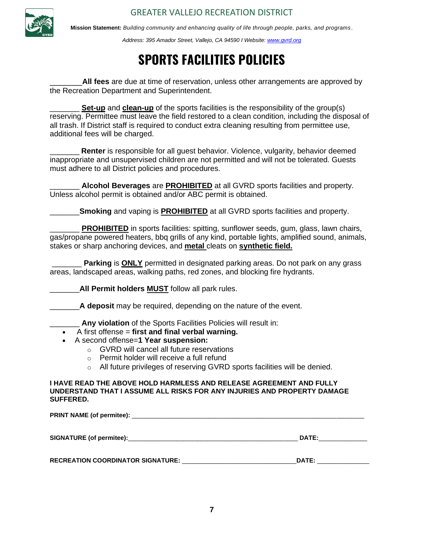

**Mission Statement:** *Building community and enhancing quality of life through people, parks, and programs .*

*Address: 395 Amador Street, Vallejo, CA 94590 I Website: [www.gvrd.org](http://www.gvrd.org/)*

## **SPORTS FACILITIES POLICIES**

the Recreation Department and Superintendent. \_\_\_\_\_\_\_**All fees** are due at time of reservation, unless other arrangements are approved by

**Set-up** and **clean-up** of the sports facilities is the responsibility of the group(s) reserving. Permittee must leave the field restored to a clean condition, including the disposal of all trash. If District staff is required to conduct extra cleaning resulting from permittee use, additional fees will be charged.

**Renter** is responsible for all quest behavior. Violence, vulgarity, behavior deemed inappropriate and unsupervised children are not permitted and will not be tolerated. Guests must adhere to all District policies and procedures.

\_\_\_\_\_\_\_ **Alcohol Beverages** are **PROHIBITED** at all GVRD sports facilities and property. Unless alcohol permit is obtained and/or ABC permit is obtained.

**Smoking** and vaping is **PROHIBITED** at all GVRD sports facilities and property.

**PROHIBITED** in sports facilities: spitting, sunflower seeds, gum, glass, lawn chairs, gas/propane powered heaters, bbq grills of any kind, portable lights, amplified sound, animals, stakes or sharp anchoring devices, and **metal** cleats on **synthetic field.**

**Parking is ONLY** permitted in designated parking areas. Do not park on any grass areas, landscaped areas, walking paths, red zones, and blocking fire hydrants.

\_\_\_\_\_\_\_**All Permit holders MUST** follow all park rules.

A **deposit** may be required, depending on the nature of the event.

Any violation of the Sports Facilities Policies will result in:

- A first offense = **first and final verbal warning.**
- A second offense=**1 Year suspension:**
	- o GVRD will cancel all future reservations
	- o Permit holder will receive a full refund
	- o All future privileges of reserving GVRD sports facilities will be denied.

**I HAVE READ THE ABOVE HOLD HARMLESS AND RELEASE AGREEMENT AND FULLY UNDERSTAND THAT I ASSUME ALL RISKS FOR ANY INJURIES AND PROPERTY DAMAGE SUFFERED.**

| <b>DATE:</b> |
|--------------|
| DATE:        |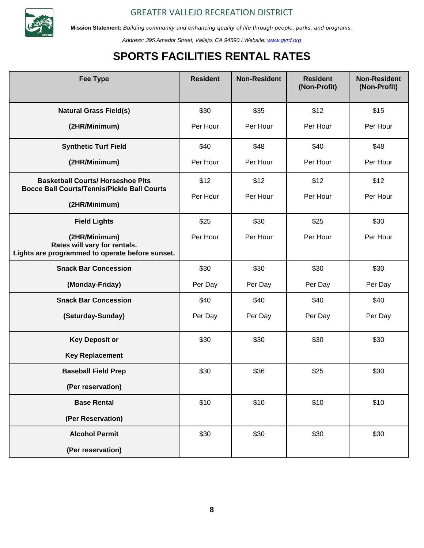

*Address: 395 Amador Street, Vallejo, CA 94590 I Website: [www.gvrd.org](http://www.gvrd.org/)*

## **SPORTS FACILITIES RENTAL RATES**

| <b>Fee Type</b>                                                                                  | <b>Resident</b> | <b>Non-Resident</b> | <b>Resident</b><br>(Non-Profit) | <b>Non-Resident</b><br>(Non-Profit) |
|--------------------------------------------------------------------------------------------------|-----------------|---------------------|---------------------------------|-------------------------------------|
| <b>Natural Grass Field(s)</b>                                                                    | \$30            | \$35                | \$12                            | \$15                                |
| (2HR/Minimum)                                                                                    | Per Hour        | Per Hour            | Per Hour                        | Per Hour                            |
| <b>Synthetic Turf Field</b>                                                                      | \$40            | \$48                | \$40                            | \$48                                |
| (2HR/Minimum)                                                                                    | Per Hour        | Per Hour            | Per Hour                        | Per Hour                            |
| <b>Basketball Courts/ Horseshoe Pits</b><br><b>Bocce Ball Courts/Tennis/Pickle Ball Courts</b>   | \$12            | \$12                | \$12                            | \$12                                |
| (2HR/Minimum)                                                                                    | Per Hour        | Per Hour            | Per Hour                        | Per Hour                            |
| <b>Field Lights</b>                                                                              | \$25            | \$30                | \$25                            | \$30                                |
| (2HR/Minimum)<br>Rates will vary for rentals.<br>Lights are programmed to operate before sunset. | Per Hour        | Per Hour            | Per Hour                        | Per Hour                            |
| <b>Snack Bar Concession</b>                                                                      | \$30            | \$30                | \$30                            | \$30                                |
| (Monday-Friday)                                                                                  | Per Day         | Per Day             | Per Day                         | Per Day                             |
| <b>Snack Bar Concession</b>                                                                      | \$40            | \$40                | \$40                            | \$40                                |
| (Saturday-Sunday)                                                                                | Per Day         | Per Day             | Per Day                         | Per Day                             |
| <b>Key Deposit or</b>                                                                            | \$30            | \$30                | \$30                            | \$30                                |
| <b>Key Replacement</b>                                                                           |                 |                     |                                 |                                     |
| <b>Baseball Field Prep</b>                                                                       | \$30            | \$36                | \$25                            | \$30                                |
| (Per reservation)                                                                                |                 |                     |                                 |                                     |
| <b>Base Rental</b>                                                                               | \$10            | \$10                | \$10                            | \$10                                |
| (Per Reservation)                                                                                |                 |                     |                                 |                                     |
| <b>Alcohol Permit</b>                                                                            | \$30            | \$30                | \$30                            | \$30                                |
| (Per reservation)                                                                                |                 |                     |                                 |                                     |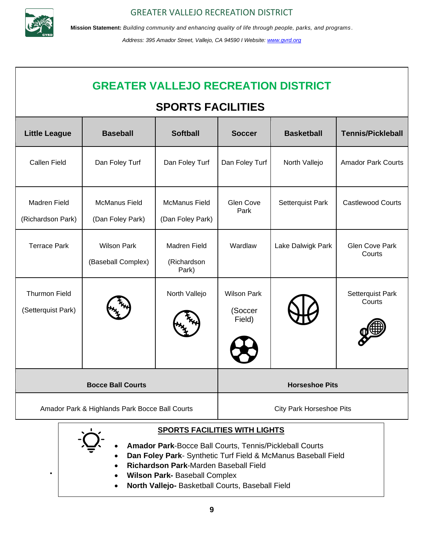

**Mission Statement:** *Building community and enhancing quality of life through people, parks, and programs .*

*Address: 395 Amador Street, Vallejo, CA 94590 I Website: [www.gvrd.org](http://www.gvrd.org/)*

## **GREATER VALLEJO RECREATION DISTRICT**

### **SPORTS FACILITIES**

| <b>Little League</b>                           | <b>Baseball</b>                          | <b>Softball</b>                          | <b>Soccer</b>                           | <b>Basketball</b> | <b>Tennis/Pickleball</b>        |
|------------------------------------------------|------------------------------------------|------------------------------------------|-----------------------------------------|-------------------|---------------------------------|
| <b>Callen Field</b>                            | Dan Foley Turf                           | Dan Foley Turf                           | Dan Foley Turf                          | North Vallejo     | <b>Amador Park Courts</b>       |
| Madren Field<br>(Richardson Park)              | <b>McManus Field</b><br>(Dan Foley Park) | <b>McManus Field</b><br>(Dan Foley Park) | Glen Cove<br>Park                       | Setterquist Park  | <b>Castlewood Courts</b>        |
| <b>Terrace Park</b>                            | <b>Wilson Park</b><br>(Baseball Complex) | Madren Field<br>(Richardson<br>Park)     | Wardlaw                                 | Lake Dalwigk Park | <b>Glen Cove Park</b><br>Courts |
| <b>Thurmon Field</b><br>(Setterquist Park)     |                                          | North Vallejo                            | <b>Wilson Park</b><br>(Soccer<br>Field) |                   | Setterquist Park<br>Courts      |
| <b>Bocce Ball Courts</b>                       |                                          | <b>Horseshoe Pits</b>                    |                                         |                   |                                 |
| Amador Park & Highlands Park Bocce Ball Courts |                                          | <b>City Park Horseshoe Pits</b>          |                                         |                   |                                 |

#### **SPORTS FACILITIES WITH LIGHTS**

- **Amador Park**-Bocce Ball Courts, Tennis/Pickleball Courts
- **Dan Foley Park** Synthetic Turf Field & McManus Baseball Field
	- **Richardson Park**-Marden Baseball Field
- **I Wilson Park-** Baseball Complex
	- **North Vallejo-** Basketball Courts, Baseball Field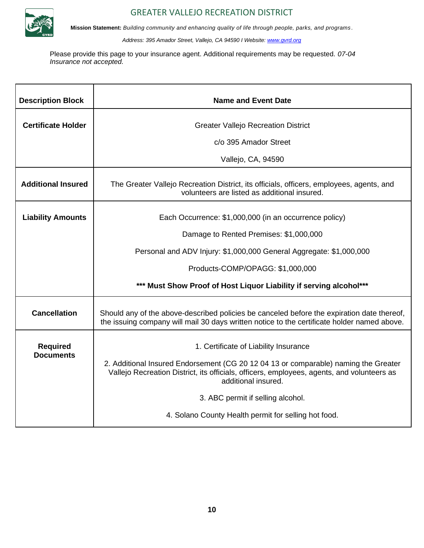

**Mission Statement:** *Building community and enhancing quality of life through people, parks, and programs .*

*Address: 395 Amador Street, Vallejo, CA 94590 I Website: [www.gvrd.org](http://www.gvrd.org/)*

Please provide this page to your insurance agent. Additional requirements may be requested. *07-04 Insurance not accepted.*

| <b>Description Block</b>            | <b>Name and Event Date</b>                                                                                                                                                                               |  |  |
|-------------------------------------|----------------------------------------------------------------------------------------------------------------------------------------------------------------------------------------------------------|--|--|
| <b>Certificate Holder</b>           | <b>Greater Vallejo Recreation District</b>                                                                                                                                                               |  |  |
|                                     | c/o 395 Amador Street                                                                                                                                                                                    |  |  |
|                                     | Vallejo, CA, 94590                                                                                                                                                                                       |  |  |
| <b>Additional Insured</b>           | The Greater Vallejo Recreation District, its officials, officers, employees, agents, and<br>volunteers are listed as additional insured.                                                                 |  |  |
| <b>Liability Amounts</b>            | Each Occurrence: \$1,000,000 (in an occurrence policy)                                                                                                                                                   |  |  |
|                                     | Damage to Rented Premises: \$1,000,000                                                                                                                                                                   |  |  |
|                                     | Personal and ADV Injury: \$1,000,000 General Aggregate: \$1,000,000                                                                                                                                      |  |  |
|                                     | Products-COMP/OPAGG: \$1,000,000                                                                                                                                                                         |  |  |
|                                     | *** Must Show Proof of Host Liquor Liability if serving alcohol***                                                                                                                                       |  |  |
| <b>Cancellation</b>                 | Should any of the above-described policies be canceled before the expiration date thereof,<br>the issuing company will mail 30 days written notice to the certificate holder named above.                |  |  |
| <b>Required</b><br><b>Documents</b> | 1. Certificate of Liability Insurance                                                                                                                                                                    |  |  |
|                                     | 2. Additional Insured Endorsement (CG 20 12 04 13 or comparable) naming the Greater<br>Vallejo Recreation District, its officials, officers, employees, agents, and volunteers as<br>additional insured. |  |  |
|                                     | 3. ABC permit if selling alcohol.                                                                                                                                                                        |  |  |
|                                     | 4. Solano County Health permit for selling hot food.                                                                                                                                                     |  |  |